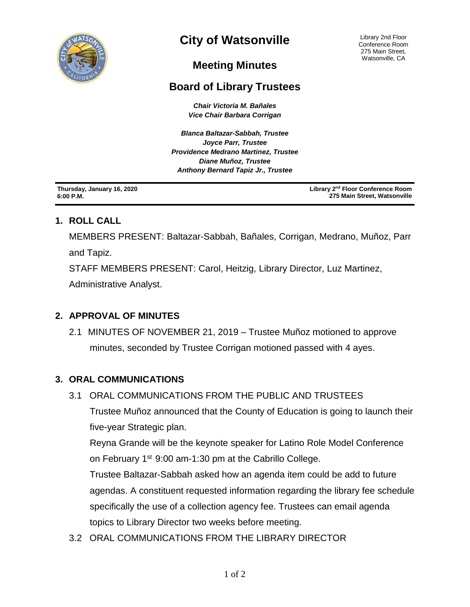

# **City of Watsonville**

Library 2nd Floor Conference Room 275 Main Street, Watsonville, CA

# **Meeting Minutes**

## **Board of Library Trustees**

*Chair Victoria M. Bañales Vice Chair Barbara Corrigan*

*Blanca Baltazar-Sabbah, Trustee Joyce Parr, Trustee Providence Medrano Martinez, Trustee Diane Muñoz, Trustee Anthony Bernard Tapiz Jr., Trustee*

**Thursday, January 16, 2020 6:00 P.M.**

**Library 2nd Floor Conference Room 275 Main Street, Watsonville**

#### **1. ROLL CALL**

MEMBERS PRESENT: Baltazar-Sabbah, Bañales, Corrigan, Medrano, Muñoz, Parr and Tapiz.

STAFF MEMBERS PRESENT: Carol, Heitzig, Library Director, Luz Martinez, Administrative Analyst.

#### **2. APPROVAL OF MINUTES**

2.1 MINUTES OF NOVEMBER 21, 2019 – Trustee Muñoz motioned to approve minutes, seconded by Trustee Corrigan motioned passed with 4 ayes.

#### **3. ORAL COMMUNICATIONS**

3.1ORAL COMMUNICATIONS FROM THE PUBLIC AND TRUSTEES

Trustee Muñoz announced that the County of Education is going to launch their five-year Strategic plan.

Reyna Grande will be the keynote speaker for Latino Role Model Conference on February  $1<sup>st</sup>$  9:00 am-1:30 pm at the Cabrillo College.

Trustee Baltazar-Sabbah asked how an agenda item could be add to future agendas. A constituent requested information regarding the library fee schedule specifically the use of a collection agency fee. Trustees can email agenda topics to Library Director two weeks before meeting.

3.2ORAL COMMUNICATIONS FROM THE LIBRARY DIRECTOR